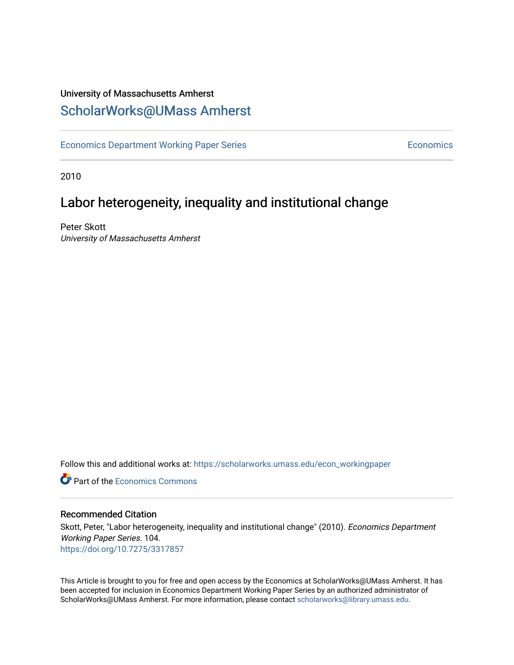# University of Massachusetts Amherst [ScholarWorks@UMass Amherst](https://scholarworks.umass.edu/)

[Economics Department Working Paper Series](https://scholarworks.umass.edu/econ_workingpaper) **Economics** Economics

2010

# Labor heterogeneity, inequality and institutional change

Peter Skott University of Massachusetts Amherst

Follow this and additional works at: [https://scholarworks.umass.edu/econ\\_workingpaper](https://scholarworks.umass.edu/econ_workingpaper?utm_source=scholarworks.umass.edu%2Fecon_workingpaper%2F104&utm_medium=PDF&utm_campaign=PDFCoverPages) 

**C** Part of the [Economics Commons](http://network.bepress.com/hgg/discipline/340?utm_source=scholarworks.umass.edu%2Fecon_workingpaper%2F104&utm_medium=PDF&utm_campaign=PDFCoverPages)

#### Recommended Citation

Skott, Peter, "Labor heterogeneity, inequality and institutional change" (2010). Economics Department Working Paper Series. 104. <https://doi.org/10.7275/3317857>

This Article is brought to you for free and open access by the Economics at ScholarWorks@UMass Amherst. It has been accepted for inclusion in Economics Department Working Paper Series by an authorized administrator of ScholarWorks@UMass Amherst. For more information, please contact [scholarworks@library.umass.edu.](mailto:scholarworks@library.umass.edu)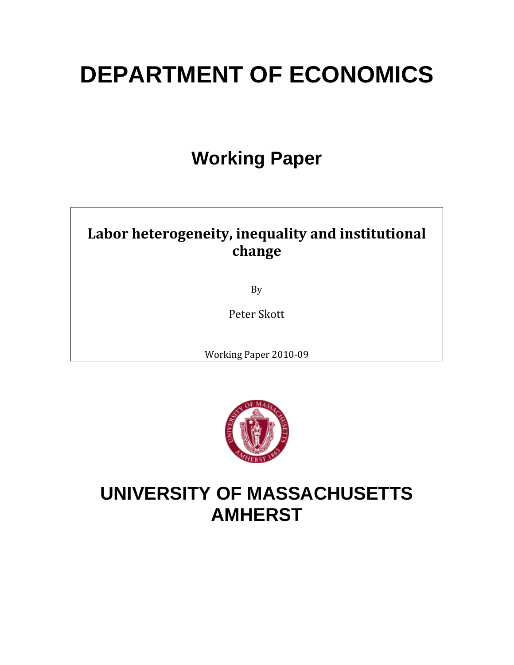# **DEPARTMENT OF ECONOMICS**

# **Working Paper**

# **Labor heterogeneity, inequality and institutional change**

By

Peter Skott

Working Paper 2010‐09



# **UNIVERSITY OF MASSACHUSETTS AMHERST**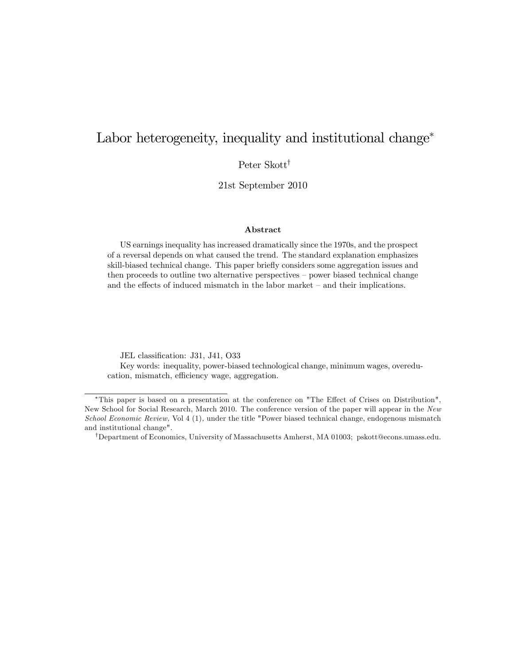# Labor heterogeneity, inequality and institutional change<sup>\*</sup>

Peter Skott<sup>†</sup>

21st September 2010

#### Abstract

US earnings inequality has increased dramatically since the 1970s, and the prospect of a reversal depends on what caused the trend. The standard explanation emphasizes skill-biased technical change. This paper briefly considers some aggregation issues and then proceeds to outline two alternative perspectives – power biased technical change and the effects of induced mismatch in the labor market  $-$  and their implications.

JEL classification: J31, J41, O33

Key words: inequality, power-biased technological change, minimum wages, overeducation, mismatch, efficiency wage, aggregation.

<sup>\*</sup>This paper is based on a presentation at the conference on "The Effect of Crises on Distribution", New School for Social Research, March 2010. The conference version of the paper will appear in the New School Economic Review, Vol 4 (1), under the title "Power biased technical change, endogenous mismatch and institutional change".

<sup>&</sup>lt;sup>†</sup>Department of Economics, University of Massachusetts Amherst, MA 01003; pskott@econs.umass.edu.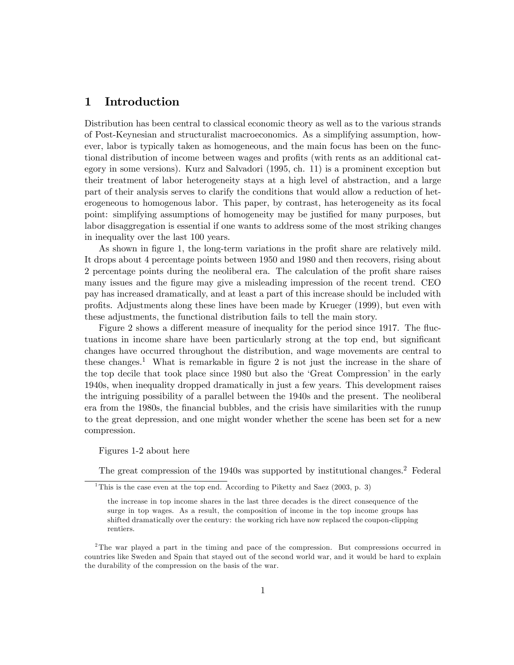# 1 Introduction

Distribution has been central to classical economic theory as well as to the various strands of Post-Keynesian and structuralist macroeconomics. As a simplifying assumption, however, labor is typically taken as homogeneous, and the main focus has been on the functional distribution of income between wages and profits (with rents as an additional category in some versions). Kurz and Salvadori (1995, ch. 11) is a prominent exception but their treatment of labor heterogeneity stays at a high level of abstraction, and a large part of their analysis serves to clarify the conditions that would allow a reduction of heterogeneous to homogenous labor. This paper, by contrast, has heterogeneity as its focal point: simplifying assumptions of homogeneity may be justified for many purposes, but labor disaggregation is essential if one wants to address some of the most striking changes in inequality over the last 100 years.

As shown in figure 1, the long-term variations in the profit share are relatively mild. It drops about 4 percentage points between 1950 and 1980 and then recovers, rising about 2 percentage points during the neoliberal era. The calculation of the profit share raises many issues and the figure may give a misleading impression of the recent trend. CEO pay has increased dramatically, and at least a part of this increase should be included with profits. Adjustments along these lines have been made by Krueger (1999), but even with these adjustments, the functional distribution fails to tell the main story.

Figure 2 shows a different measure of inequality for the period since 1917. The fluctuations in income share have been particularly strong at the top end, but significant changes have occurred throughout the distribution, and wage movements are central to these changes.<sup>1</sup> What is remarkable in figure 2 is not just the increase in the share of the top decile that took place since 1980 but also the 'Great Compression' in the early 1940s, when inequality dropped dramatically in just a few years. This development raises the intriguing possibility of a parallel between the 1940s and the present. The neoliberal era from the 1980s, the Önancial bubbles, and the crisis have similarities with the runup to the great depression, and one might wonder whether the scene has been set for a new compression.

Figures 1-2 about here

The great compression of the 1940s was supported by institutional changes.<sup>2</sup> Federal

<sup>&</sup>lt;sup>1</sup>This is the case even at the top end. According to Piketty and Saez  $(2003, p. 3)$ 

the increase in top income shares in the last three decades is the direct consequence of the surge in top wages. As a result, the composition of income in the top income groups has shifted dramatically over the century: the working rich have now replaced the coupon-clipping rentiers.

<sup>2</sup>The war played a part in the timing and pace of the compression. But compressions occurred in countries like Sweden and Spain that stayed out of the second world war, and it would be hard to explain the durability of the compression on the basis of the war.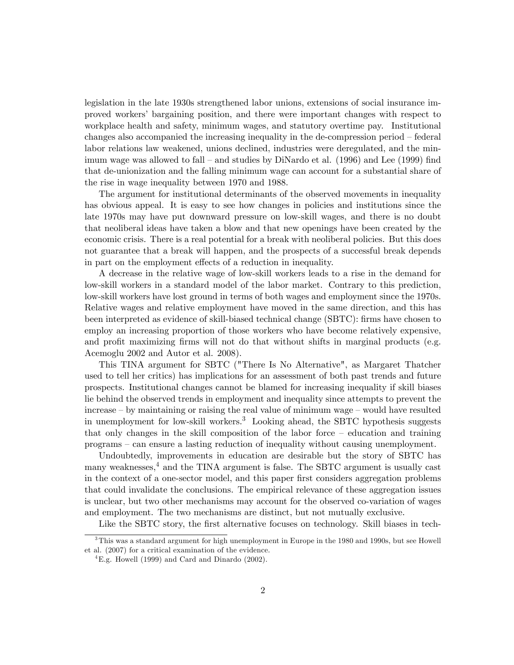legislation in the late 1930s strengthened labor unions, extensions of social insurance improved workersí bargaining position, and there were important changes with respect to workplace health and safety, minimum wages, and statutory overtime pay. Institutional changes also accompanied the increasing inequality in the de-compression period  $-$  federal labor relations law weakened, unions declined, industries were deregulated, and the minimum wage was allowed to fall  $-$  and studies by DiNardo et al. (1996) and Lee (1999) find that de-unionization and the falling minimum wage can account for a substantial share of the rise in wage inequality between 1970 and 1988.

The argument for institutional determinants of the observed movements in inequality has obvious appeal. It is easy to see how changes in policies and institutions since the late 1970s may have put downward pressure on low-skill wages, and there is no doubt that neoliberal ideas have taken a blow and that new openings have been created by the economic crisis. There is a real potential for a break with neoliberal policies. But this does not guarantee that a break will happen, and the prospects of a successful break depends in part on the employment effects of a reduction in inequality.

A decrease in the relative wage of low-skill workers leads to a rise in the demand for low-skill workers in a standard model of the labor market. Contrary to this prediction, low-skill workers have lost ground in terms of both wages and employment since the 1970s. Relative wages and relative employment have moved in the same direction, and this has been interpreted as evidence of skill-biased technical change (SBTC): firms have chosen to employ an increasing proportion of those workers who have become relatively expensive, and profit maximizing firms will not do that without shifts in marginal products (e.g. Acemoglu 2002 and Autor et al. 2008).

This TINA argument for SBTC ("There Is No Alternative", as Margaret Thatcher used to tell her critics) has implications for an assessment of both past trends and future prospects. Institutional changes cannot be blamed for increasing inequality if skill biases lie behind the observed trends in employment and inequality since attempts to prevent the  $increase - by maintaining or raising the real value of minimum wage - would have resulted$ in unemployment for low-skill workers.<sup>3</sup> Looking ahead, the SBTC hypothesis suggests that only changes in the skill composition of the labor force  $-$  education and training programs – can ensure a lasting reduction of inequality without causing unemployment.

Undoubtedly, improvements in education are desirable but the story of SBTC has many weaknesses, $4$  and the TINA argument is false. The SBTC argument is usually cast in the context of a one-sector model, and this paper first considers aggregation problems that could invalidate the conclusions. The empirical relevance of these aggregation issues is unclear, but two other mechanisms may account for the observed co-variation of wages and employment. The two mechanisms are distinct, but not mutually exclusive.

Like the SBTC story, the first alternative focuses on technology. Skill biases in tech-

<sup>&</sup>lt;sup>3</sup>This was a standard argument for high unemployment in Europe in the 1980 and 1990s, but see Howell et al. (2007) for a critical examination of the evidence.

 ${}^{4}$ E.g. Howell (1999) and Card and Dinardo (2002).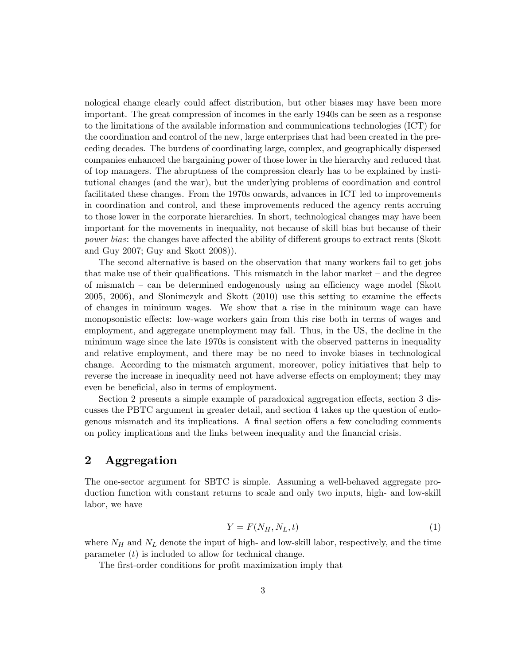nological change clearly could affect distribution, but other biases may have been more important. The great compression of incomes in the early 1940s can be seen as a response to the limitations of the available information and communications technologies (ICT) for the coordination and control of the new, large enterprises that had been created in the preceding decades. The burdens of coordinating large, complex, and geographically dispersed companies enhanced the bargaining power of those lower in the hierarchy and reduced that of top managers. The abruptness of the compression clearly has to be explained by institutional changes (and the war), but the underlying problems of coordination and control facilitated these changes. From the 1970s onwards, advances in ICT led to improvements in coordination and control, and these improvements reduced the agency rents accruing to those lower in the corporate hierarchies. In short, technological changes may have been important for the movements in inequality, not because of skill bias but because of their power bias: the changes have affected the ability of different groups to extract rents (Skott and Guy 2007; Guy and Skott 2008)).

The second alternative is based on the observation that many workers fail to get jobs that make use of their qualifications. This mismatch in the labor market  $-$  and the degree of mismatch  $-$  can be determined endogenously using an efficiency wage model (Skott  $2005, 2006$ , and Slonimczyk and Skott  $(2010)$  use this setting to examine the effects of changes in minimum wages. We show that a rise in the minimum wage can have monopsonistic effects: low-wage workers gain from this rise both in terms of wages and employment, and aggregate unemployment may fall. Thus, in the US, the decline in the minimum wage since the late 1970s is consistent with the observed patterns in inequality and relative employment, and there may be no need to invoke biases in technological change. According to the mismatch argument, moreover, policy initiatives that help to reverse the increase in inequality need not have adverse effects on employment; they may even be beneficial, also in terms of employment.

Section 2 presents a simple example of paradoxical aggregation effects, section 3 discusses the PBTC argument in greater detail, and section 4 takes up the question of endogenous mismatch and its implications. A final section offers a few concluding comments on policy implications and the links between inequality and the Önancial crisis.

### 2 Aggregation

The one-sector argument for SBTC is simple. Assuming a well-behaved aggregate production function with constant returns to scale and only two inputs, high- and low-skill labor, we have

$$
Y = F(N_H, N_L, t) \tag{1}
$$

where  $N_H$  and  $N_L$  denote the input of high- and low-skill labor, respectively, and the time parameter  $(t)$  is included to allow for technical change.

The first-order conditions for profit maximization imply that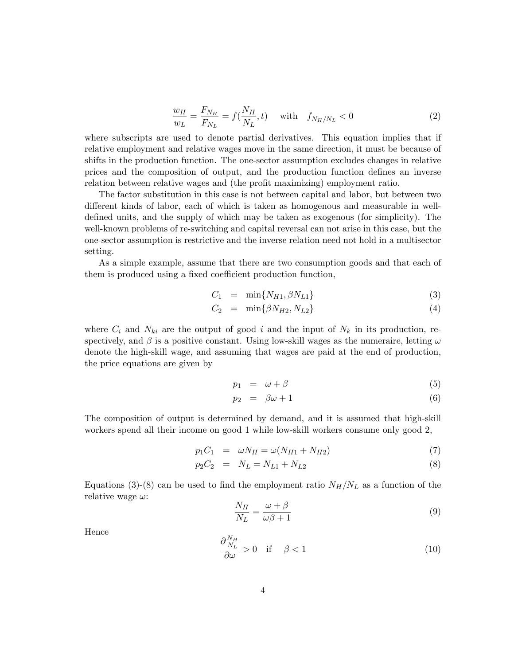$$
\frac{w_H}{w_L} = \frac{F_{N_H}}{F_{N_L}} = f(\frac{N_H}{N_L}, t) \quad \text{with} \quad f_{N_H/N_L} < 0 \tag{2}
$$

where subscripts are used to denote partial derivatives. This equation implies that if relative employment and relative wages move in the same direction, it must be because of shifts in the production function. The one-sector assumption excludes changes in relative prices and the composition of output, and the production function defines an inverse relation between relative wages and (the profit maximizing) employment ratio.

The factor substitution in this case is not between capital and labor, but between two different kinds of labor, each of which is taken as homogenous and measurable in welldefined units, and the supply of which may be taken as exogenous (for simplicity). The well-known problems of re-switching and capital reversal can not arise in this case, but the one-sector assumption is restrictive and the inverse relation need not hold in a multisector setting.

As a simple example, assume that there are two consumption goods and that each of them is produced using a fixed coefficient production function,

$$
C_1 = \min\{N_{H1}, \beta N_{L1}\}\tag{3}
$$

$$
C_2 = \min\{\beta N_{H2}, N_{L2}\}\tag{4}
$$

where  $C_i$  and  $N_{ki}$  are the output of good i and the input of  $N_k$  in its production, respectively, and  $\beta$  is a positive constant. Using low-skill wages as the numeraire, letting  $\omega$ denote the high-skill wage, and assuming that wages are paid at the end of production, the price equations are given by

$$
p_1 = \omega + \beta \tag{5}
$$

$$
p_2 = \beta \omega + 1 \tag{6}
$$

The composition of output is determined by demand, and it is assumed that high-skill workers spend all their income on good 1 while low-skill workers consume only good 2,

$$
p_1 C_1 = \omega N_H = \omega (N_{H1} + N_{H2}) \tag{7}
$$

$$
p_2 C_2 = N_L = N_{L1} + N_{L2}
$$
\n(8)

Equations (3)-(8) can be used to find the employment ratio  $N_H/N_L$  as a function of the relative wage  $\omega$ :

$$
\frac{N_H}{N_L} = \frac{\omega + \beta}{\omega \beta + 1} \tag{9}
$$

Hence

$$
\frac{\partial \frac{N_H}{N_L}}{\partial \omega} > 0 \quad \text{if} \quad \beta < 1 \tag{10}
$$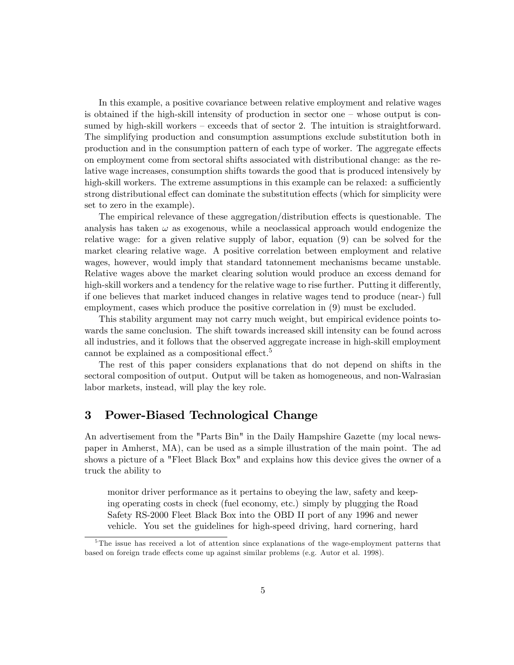In this example, a positive covariance between relative employment and relative wages is obtained if the high-skill intensity of production in sector one  $-\theta$  whose output is consumed by high-skill workers  $-$  exceeds that of sector 2. The intuition is straightforward. The simplifying production and consumption assumptions exclude substitution both in production and in the consumption pattern of each type of worker. The aggregate effects on employment come from sectoral shifts associated with distributional change: as the relative wage increases, consumption shifts towards the good that is produced intensively by high-skill workers. The extreme assumptions in this example can be relaxed: a sufficiently strong distributional effect can dominate the substitution effects (which for simplicity were set to zero in the example).

The empirical relevance of these aggregation/distribution effects is questionable. The analysis has taken  $\omega$  as exogenous, while a neoclassical approach would endogenize the relative wage: for a given relative supply of labor, equation (9) can be solved for the market clearing relative wage. A positive correlation between employment and relative wages, however, would imply that standard tatonnement mechanisms became unstable. Relative wages above the market clearing solution would produce an excess demand for high-skill workers and a tendency for the relative wage to rise further. Putting it differently, if one believes that market induced changes in relative wages tend to produce (near-) full employment, cases which produce the positive correlation in (9) must be excluded.

This stability argument may not carry much weight, but empirical evidence points towards the same conclusion. The shift towards increased skill intensity can be found across all industries, and it follows that the observed aggregate increase in high-skill employment cannot be explained as a compositional effect.<sup>5</sup>

The rest of this paper considers explanations that do not depend on shifts in the sectoral composition of output. Output will be taken as homogeneous, and non-Walrasian labor markets, instead, will play the key role.

# 3 Power-Biased Technological Change

An advertisement from the "Parts Bin" in the Daily Hampshire Gazette (my local newspaper in Amherst, MA), can be used as a simple illustration of the main point. The ad shows a picture of a "Fleet Black Box" and explains how this device gives the owner of a truck the ability to

monitor driver performance as it pertains to obeying the law, safety and keeping operating costs in check (fuel economy, etc.) simply by plugging the Road Safety RS-2000 Fleet Black Box into the OBD II port of any 1996 and newer vehicle. You set the guidelines for high-speed driving, hard cornering, hard

<sup>&</sup>lt;sup>5</sup>The issue has received a lot of attention since explanations of the wage-employment patterns that based on foreign trade effects come up against similar problems (e.g. Autor et al. 1998).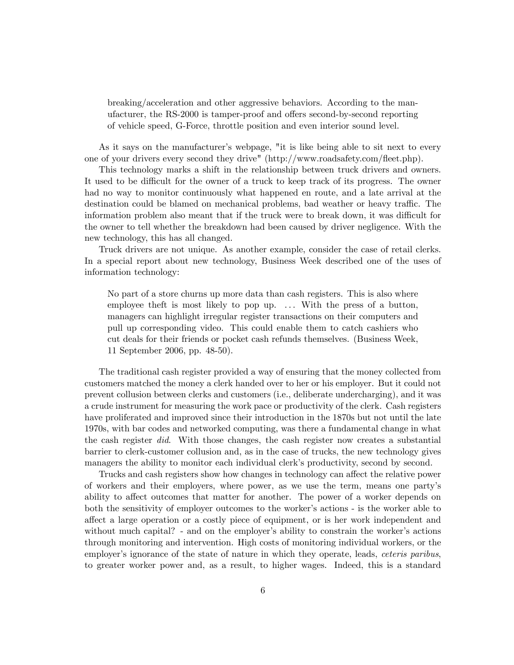breaking/acceleration and other aggressive behaviors. According to the manufacturer, the RS-2000 is tamper-proof and offers second-by-second reporting of vehicle speed, G-Force, throttle position and even interior sound level.

As it says on the manufacturer's webpage, "it is like being able to sit next to every one of your drivers every second they drive" (http://www.roadsafety.com/áeet.php).

This technology marks a shift in the relationship between truck drivers and owners. It used to be difficult for the owner of a truck to keep track of its progress. The owner had no way to monitor continuously what happened en route, and a late arrival at the destination could be blamed on mechanical problems, bad weather or heavy traffic. The information problem also meant that if the truck were to break down, it was difficult for the owner to tell whether the breakdown had been caused by driver negligence. With the new technology, this has all changed.

Truck drivers are not unique. As another example, consider the case of retail clerks. In a special report about new technology, Business Week described one of the uses of information technology:

No part of a store churns up more data than cash registers. This is also where employee theft is most likely to pop up. ... With the press of a button, managers can highlight irregular register transactions on their computers and pull up corresponding video. This could enable them to catch cashiers who cut deals for their friends or pocket cash refunds themselves. (Business Week, 11 September 2006, pp. 48-50).

The traditional cash register provided a way of ensuring that the money collected from customers matched the money a clerk handed over to her or his employer. But it could not prevent collusion between clerks and customers (i.e., deliberate undercharging), and it was a crude instrument for measuring the work pace or productivity of the clerk. Cash registers have proliferated and improved since their introduction in the 1870s but not until the late 1970s, with bar codes and networked computing, was there a fundamental change in what the cash register did. With those changes, the cash register now creates a substantial barrier to clerk-customer collusion and, as in the case of trucks, the new technology gives managers the ability to monitor each individual clerk's productivity, second by second.

Trucks and cash registers show how changes in technology can affect the relative power of workers and their employers, where power, as we use the term, means one partyís ability to affect outcomes that matter for another. The power of a worker depends on both the sensitivity of employer outcomes to the worker's actions - is the worker able to a§ect a large operation or a costly piece of equipment, or is her work independent and without much capital? - and on the employer's ability to constrain the worker's actions through monitoring and intervention. High costs of monitoring individual workers, or the employer's ignorance of the state of nature in which they operate, leads, *ceteris paribus*, to greater worker power and, as a result, to higher wages. Indeed, this is a standard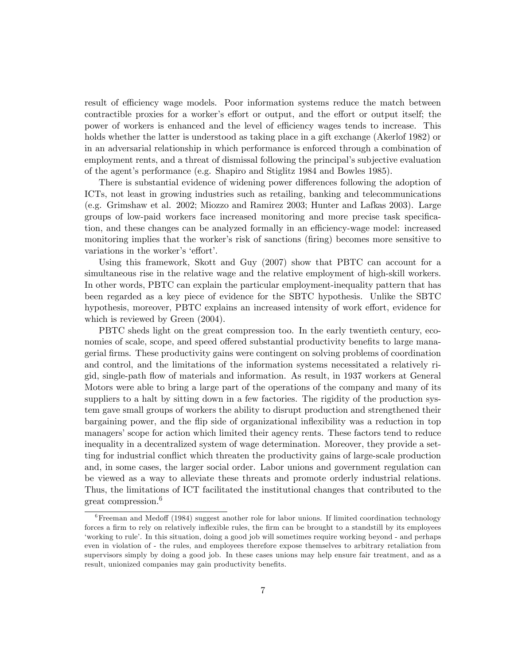result of efficiency wage models. Poor information systems reduce the match between contractible proxies for a worker's effort or output, and the effort or output itself; the power of workers is enhanced and the level of efficiency wages tends to increase. This holds whether the latter is understood as taking place in a gift exchange (Akerlof 1982) or in an adversarial relationship in which performance is enforced through a combination of employment rents, and a threat of dismissal following the principal's subjective evaluation of the agentís performance (e.g. Shapiro and Stiglitz 1984 and Bowles 1985).

There is substantial evidence of widening power differences following the adoption of ICTs, not least in growing industries such as retailing, banking and telecommunications (e.g. Grimshaw et al. 2002; Miozzo and Ramirez 2003; Hunter and Lafkas 2003). Large groups of low-paid workers face increased monitoring and more precise task specification, and these changes can be analyzed formally in an efficiency-wage model: increased monitoring implies that the worker's risk of sanctions (firing) becomes more sensitive to variations in the worker's 'effort'.

Using this framework, Skott and Guy (2007) show that PBTC can account for a simultaneous rise in the relative wage and the relative employment of high-skill workers. In other words, PBTC can explain the particular employment-inequality pattern that has been regarded as a key piece of evidence for the SBTC hypothesis. Unlike the SBTC hypothesis, moreover, PBTC explains an increased intensity of work effort, evidence for which is reviewed by Green (2004).

PBTC sheds light on the great compression too. In the early twentieth century, economies of scale, scope, and speed offered substantial productivity benefits to large managerial Örms. These productivity gains were contingent on solving problems of coordination and control, and the limitations of the information systems necessitated a relatively rigid, single-path áow of materials and information. As result, in 1937 workers at General Motors were able to bring a large part of the operations of the company and many of its suppliers to a halt by sitting down in a few factories. The rigidity of the production system gave small groups of workers the ability to disrupt production and strengthened their bargaining power, and the flip side of organizational inflexibility was a reduction in top managers' scope for action which limited their agency rents. These factors tend to reduce inequality in a decentralized system of wage determination. Moreover, they provide a setting for industrial conflict which threaten the productivity gains of large-scale production and, in some cases, the larger social order. Labor unions and government regulation can be viewed as a way to alleviate these threats and promote orderly industrial relations. Thus, the limitations of ICT facilitated the institutional changes that contributed to the great compression.<sup>6</sup>

 $6$ Freeman and Medoff (1984) suggest another role for labor unions. If limited coordination technology forces a firm to rely on relatively inflexible rules, the firm can be brought to a standstill by its employees ëworking to ruleí. In this situation, doing a good job will sometimes require working beyond - and perhaps even in violation of - the rules, and employees therefore expose themselves to arbitrary retaliation from supervisors simply by doing a good job. In these cases unions may help ensure fair treatment, and as a result, unionized companies may gain productivity benefits.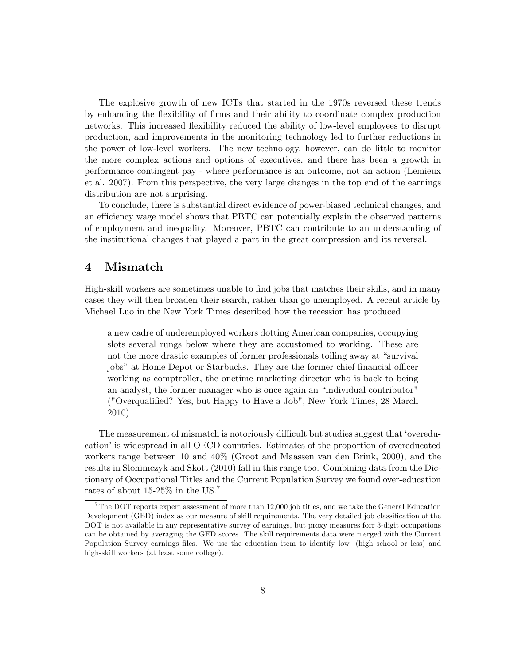The explosive growth of new ICTs that started in the 1970s reversed these trends by enhancing the áexibility of Örms and their ability to coordinate complex production networks. This increased flexibility reduced the ability of low-level employees to disrupt production, and improvements in the monitoring technology led to further reductions in the power of low-level workers. The new technology, however, can do little to monitor the more complex actions and options of executives, and there has been a growth in performance contingent pay - where performance is an outcome, not an action (Lemieux et al. 2007). From this perspective, the very large changes in the top end of the earnings distribution are not surprising.

To conclude, there is substantial direct evidence of power-biased technical changes, and an efficiency wage model shows that PBTC can potentially explain the observed patterns of employment and inequality. Moreover, PBTC can contribute to an understanding of the institutional changes that played a part in the great compression and its reversal.

### 4 Mismatch

High-skill workers are sometimes unable to find jobs that matches their skills, and in many cases they will then broaden their search, rather than go unemployed. A recent article by Michael Luo in the New York Times described how the recession has produced

a new cadre of underemployed workers dotting American companies, occupying slots several rungs below where they are accustomed to working. These are not the more drastic examples of former professionals toiling away at "survival" jobs" at Home Depot or Starbucks. They are the former chief financial officer working as comptroller, the onetime marketing director who is back to being an analyst, the former manager who is once again an "individual contributor" ("Overqualified? Yes, but Happy to Have a Job", New York Times, 28 March 2010)

The measurement of mismatch is notoriously difficult but studies suggest that 'overeducation' is widespread in all OECD countries. Estimates of the proportion of overeducated workers range between 10 and 40% (Groot and Maassen van den Brink, 2000), and the results in Slonimczyk and Skott (2010) fall in this range too. Combining data from the Dictionary of Occupational Titles and the Current Population Survey we found over-education rates of about 15-25% in the US.<sup>7</sup>

<sup>&</sup>lt;sup>7</sup>The DOT reports expert assessment of more than 12,000 job titles, and we take the General Education Development (GED) index as our measure of skill requirements. The very detailed job classification of the DOT is not available in any representative survey of earnings, but proxy measures forr 3-digit occupations can be obtained by averaging the GED scores. The skill requirements data were merged with the Current Population Survey earnings files. We use the education item to identify low- (high school or less) and high-skill workers (at least some college).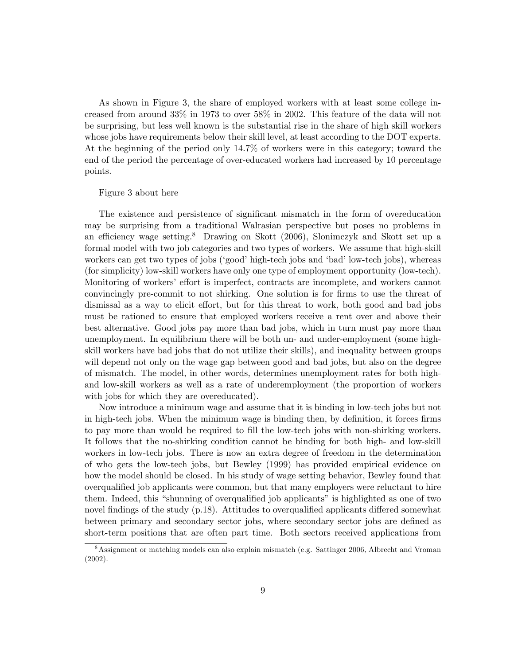As shown in Figure 3, the share of employed workers with at least some college increased from around 33% in 1973 to over 58% in 2002. This feature of the data will not be surprising, but less well known is the substantial rise in the share of high skill workers whose jobs have requirements below their skill level, at least according to the DOT experts. At the beginning of the period only 14.7% of workers were in this category; toward the end of the period the percentage of over-educated workers had increased by 10 percentage points.

#### Figure 3 about here

The existence and persistence of significant mismatch in the form of overeducation may be surprising from a traditional Walrasian perspective but poses no problems in an efficiency wage setting.<sup>8</sup> Drawing on Skott  $(2006)$ , Slonimczyk and Skott set up a formal model with two job categories and two types of workers. We assume that high-skill workers can get two types of jobs ('good' high-tech jobs and 'bad' low-tech jobs), whereas (for simplicity) low-skill workers have only one type of employment opportunity (low-tech). Monitoring of workers' effort is imperfect, contracts are incomplete, and workers cannot convincingly pre-commit to not shirking. One solution is for firms to use the threat of dismissal as a way to elicit effort, but for this threat to work, both good and bad jobs must be rationed to ensure that employed workers receive a rent over and above their best alternative. Good jobs pay more than bad jobs, which in turn must pay more than unemployment. In equilibrium there will be both un- and under-employment (some highskill workers have bad jobs that do not utilize their skills), and inequality between groups will depend not only on the wage gap between good and bad jobs, but also on the degree of mismatch. The model, in other words, determines unemployment rates for both highand low-skill workers as well as a rate of underemployment (the proportion of workers with jobs for which they are overeducated).

Now introduce a minimum wage and assume that it is binding in low-tech jobs but not in high-tech jobs. When the minimum wage is binding then, by definition, it forces firms to pay more than would be required to fill the low-tech jobs with non-shirking workers. It follows that the no-shirking condition cannot be binding for both high- and low-skill workers in low-tech jobs. There is now an extra degree of freedom in the determination of who gets the low-tech jobs, but Bewley (1999) has provided empirical evidence on how the model should be closed. In his study of wage setting behavior, Bewley found that overqualified job applicants were common, but that many employers were reluctant to hire them. Indeed, this "shunning of overqualified job applicants" is highlighted as one of two novel findings of the study  $(p.18)$ . Attitudes to overqualified applicants differed somewhat between primary and secondary sector jobs, where secondary sector jobs are defined as short-term positions that are often part time. Both sectors received applications from

<sup>8</sup>Assignment or matching models can also explain mismatch (e.g. Sattinger 2006, Albrecht and Vroman (2002).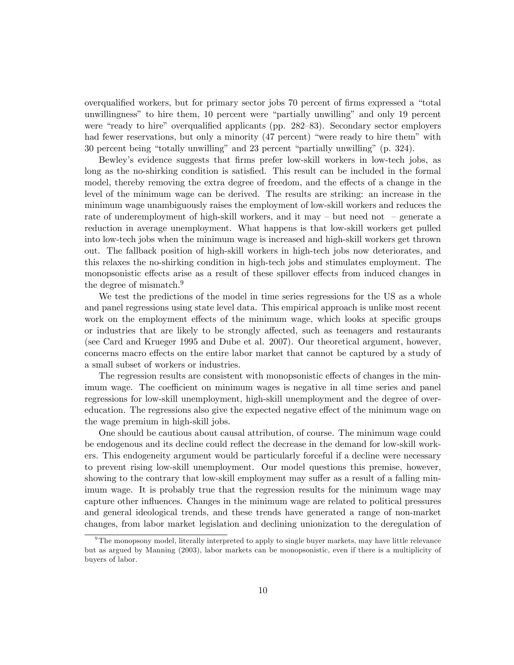overqualified workers, but for primary sector jobs 70 percent of firms expressed a "total unwillingness" to hire them, 10 percent were "partially unwilling" and only 19 percent were "ready to hire" overqualified applicants (pp.  $282-83$ ). Secondary sector employers had fewer reservations, but only a minority  $(47$  percent) "were ready to hire them" with 30 percent being "totally unwilling" and 23 percent "partially unwilling" (p. 324).

Bewley's evidence suggests that firms prefer low-skill workers in low-tech jobs, as long as the no-shirking condition is satisfied. This result can be included in the formal model, thereby removing the extra degree of freedom, and the effects of a change in the level of the minimum wage can be derived. The results are striking: an increase in the minimum wage unambiguously raises the employment of low-skill workers and reduces the rate of underemployment of high-skill workers, and it may  $-$  but need not  $-$  generate a reduction in average unemployment. What happens is that low-skill workers get pulled into low-tech jobs when the minimum wage is increased and high-skill workers get thrown out. The fallback position of high-skill workers in high-tech jobs now deteriorates, and this relaxes the no-shirking condition in high-tech jobs and stimulates employment. The monopsonistic effects arise as a result of these spillover effects from induced changes in the degree of mismatch.<sup>9</sup>

We test the predictions of the model in time series regressions for the US as a whole and panel regressions using state level data. This empirical approach is unlike most recent work on the employment effects of the minimum wage, which looks at specific groups or industries that are likely to be strongly affected, such as teenagers and restaurants (see Card and Krueger 1995 and Dube et al. 2007). Our theoretical argument, however, concerns macro effects on the entire labor market that cannot be captured by a study of a small subset of workers or industries.

The regression results are consistent with monopsonistic effects of changes in the minimum wage. The coefficient on minimum wages is negative in all time series and panel regressions for low-skill unemployment, high-skill unemployment and the degree of overeducation. The regressions also give the expected negative effect of the minimum wage on the wage premium in high-skill jobs.

One should be cautious about causal attribution, of course. The minimum wage could be endogenous and its decline could reflect the decrease in the demand for low-skill workers. This endogeneity argument would be particularly forceful if a decline were necessary to prevent rising low-skill unemployment. Our model questions this premise, however, showing to the contrary that low-skill employment may suffer as a result of a falling minimum wage. It is probably true that the regression results for the minimum wage may capture other influences. Changes in the minimum wage are related to political pressures and general ideological trends, and these trends have generated a range of non-market changes, from labor market legislation and declining unionization to the deregulation of

 $9$ The monopsony model, literally interpreted to apply to single buyer markets, may have little relevance but as argued by Manning (2003), labor markets can be monopsonistic, even if there is a multiplicity of buyers of labor.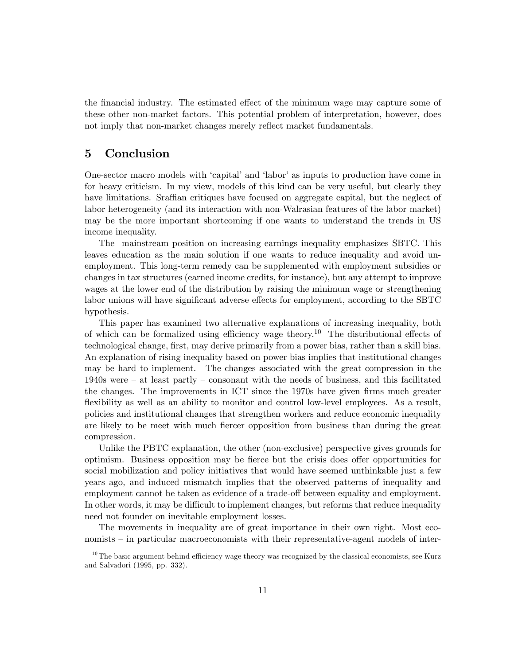the financial industry. The estimated effect of the minimum wage may capture some of these other non-market factors. This potential problem of interpretation, however, does not imply that non-market changes merely reflect market fundamentals.

### 5 Conclusion

One-sector macro models with 'capital' and 'labor' as inputs to production have come in for heavy criticism. In my view, models of this kind can be very useful, but clearly they have limitations. Sraffian critiques have focused on aggregate capital, but the neglect of labor heterogeneity (and its interaction with non-Walrasian features of the labor market) may be the more important shortcoming if one wants to understand the trends in US income inequality.

The mainstream position on increasing earnings inequality emphasizes SBTC. This leaves education as the main solution if one wants to reduce inequality and avoid unemployment. This long-term remedy can be supplemented with employment subsidies or changes in tax structures (earned income credits, for instance), but any attempt to improve wages at the lower end of the distribution by raising the minimum wage or strengthening labor unions will have significant adverse effects for employment, according to the SBTC hypothesis.

This paper has examined two alternative explanations of increasing inequality, both of which can be formalized using efficiency wage theory.<sup>10</sup> The distributional effects of technological change, first, may derive primarily from a power bias, rather than a skill bias. An explanation of rising inequality based on power bias implies that institutional changes may be hard to implement. The changes associated with the great compression in the 1940s were  $-$  at least partly  $-$  consonant with the needs of business, and this facilitated the changes. The improvements in ICT since the 1970s have given firms much greater flexibility as well as an ability to monitor and control low-level employees. As a result, policies and institutional changes that strengthen workers and reduce economic inequality are likely to be meet with much Öercer opposition from business than during the great compression.

Unlike the PBTC explanation, the other (non-exclusive) perspective gives grounds for optimism. Business opposition may be fierce but the crisis does offer opportunities for social mobilization and policy initiatives that would have seemed unthinkable just a few years ago, and induced mismatch implies that the observed patterns of inequality and employment cannot be taken as evidence of a trade-off between equality and employment. In other words, it may be difficult to implement changes, but reforms that reduce inequality need not founder on inevitable employment losses.

The movements in inequality are of great importance in their own right. Most eco $n_{\text{nonists}} - \text{in particular macroeconomics with their representative-agent models of inter-$ 

 $10$ The basic argument behind efficiency wage theory was recognized by the classical economists, see Kurz and Salvadori (1995, pp. 332).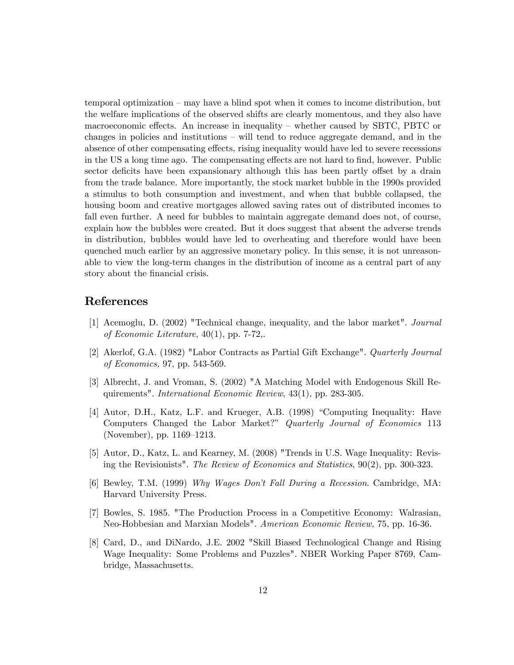$temporal optimization - may have a blind spot when it comes to income distribution, but$ the welfare implications of the observed shifts are clearly momentous, and they also have macroeconomic effects. An increase in inequality – whether caused by SBTC, PBTC or changes in policies and institutions  $-\text{ will tend to reduce aggregate demand, and in the}$ absence of other compensating effects, rising inequality would have led to severe recessions in the US a long time ago. The compensating effects are not hard to find, however. Public sector deficits have been expansionary although this has been partly offset by a drain from the trade balance. More importantly, the stock market bubble in the 1990s provided a stimulus to both consumption and investment, and when that bubble collapsed, the housing boom and creative mortgages allowed saving rates out of distributed incomes to fall even further. A need for bubbles to maintain aggregate demand does not, of course, explain how the bubbles were created. But it does suggest that absent the adverse trends in distribution, bubbles would have led to overheating and therefore would have been quenched much earlier by an aggressive monetary policy. In this sense, it is not unreasonable to view the long-term changes in the distribution of income as a central part of any story about the financial crisis.

## References

- [1] Acemoglu, D. (2002) "Technical change, inequality, and the labor market". Journal of Economic Literature, 40(1), pp. 7-72,.
- [2] Akerlof, G.A. (1982) "Labor Contracts as Partial Gift Exchange". Quarterly Journal of Economics, 97, pp. 543-569.
- [3] Albrecht, J. and Vroman, S. (2002) "A Matching Model with Endogenous Skill Requirements". International Economic Review, 43(1), pp. 283-305.
- [4] Autor, D.H., Katz, L.F. and Krueger, A.B. (1998) "Computing Inequality: Have Computers Changed the Labor Market?î Quarterly Journal of Economics 113 (November), pp.  $1169-1213$ .
- [5] Autor, D., Katz, L. and Kearney, M. (2008) "Trends in U.S. Wage Inequality: Revising the Revisionists". The Review of Economics and Statistics, 90(2), pp. 300-323.
- [6] Bewley, T.M. (1999) Why Wages Don't Fall During a Recession. Cambridge, MA: Harvard University Press.
- [7] Bowles, S. 1985. "The Production Process in a Competitive Economy: Walrasian, Neo-Hobbesian and Marxian Models". American Economic Review, 75, pp. 16-36.
- [8] Card, D., and DiNardo, J.E. 2002 "Skill Biased Technological Change and Rising Wage Inequality: Some Problems and Puzzles". NBER Working Paper 8769, Cambridge, Massachusetts.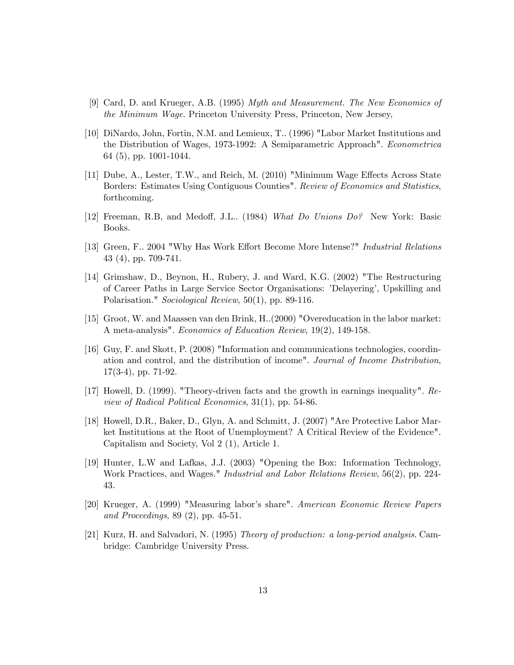- [9] Card, D. and Krueger, A.B. (1995) Myth and Measurement. The New Economics of the Minimum Wage. Princeton University Press, Princeton, New Jersey,
- [10] DiNardo, John, Fortin, N.M. and Lemieux, T.. (1996) "Labor Market Institutions and the Distribution of Wages, 1973-1992: A Semiparametric Approach". Econometrica 64 (5), pp. 1001-1044.
- $[11]$  Dube, A., Lester, T.W., and Reich, M. (2010) "Minimum Wage Effects Across State Borders: Estimates Using Contiguous Counties". Review of Economics and Statistics, forthcoming.
- [12] Freeman, R.B, and Medoff, J.L.. (1984) What Do Unions Do? New York: Basic Books.
- [13] Green, F.. 2004 "Why Has Work Effort Become More Intense?" *Industrial Relations* 43 (4), pp. 709-741.
- [14] Grimshaw, D., Beynon, H., Rubery, J. and Ward, K.G. (2002) "The Restructuring of Career Paths in Large Service Sector Organisations: íDelayeringí, Upskilling and Polarisation." Sociological Review, 50(1), pp. 89-116.
- [15] Groot, W. and Maassen van den Brink, H..(2000) "Overeducation in the labor market: A meta-analysis". Economics of Education Review, 19(2), 149-158.
- [16] Guy, F. and Skott, P. (2008) "Information and communications technologies, coordination and control, and the distribution of income". Journal of Income Distribution, 17(3-4), pp. 71-92.
- [17] Howell, D. (1999). "Theory-driven facts and the growth in earnings inequality". Review of Radical Political Economics, 31(1), pp. 54-86.
- [18] Howell, D.R., Baker, D., Glyn, A. and Schmitt, J. (2007) "Are Protective Labor Market Institutions at the Root of Unemployment? A Critical Review of the Evidence". Capitalism and Society, Vol 2 (1), Article 1.
- [19] Hunter, L.W and Lafkas, J.J. (2003) "Opening the Box: Information Technology, Work Practices, and Wages." Industrial and Labor Relations Review, 56(2), pp. 224- 43.
- [20] Krueger, A. (1999) "Measuring labor's share". American Economic Review Papers and Proceedings, 89 (2), pp. 45-51.
- [21] Kurz, H. and Salvadori, N. (1995) Theory of production: a long-period analysis. Cambridge: Cambridge University Press.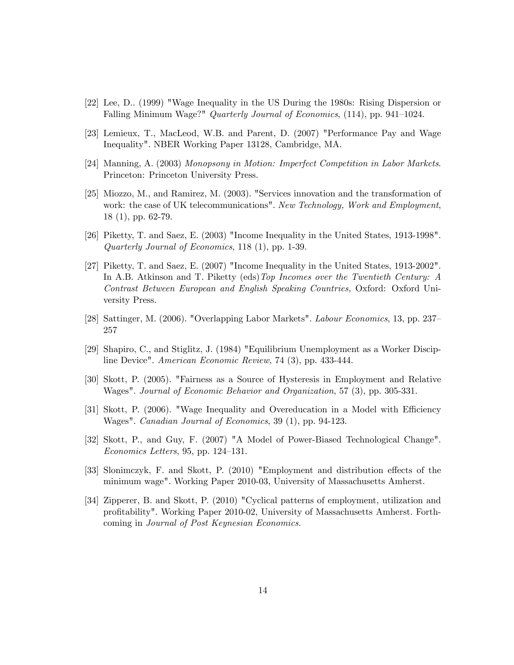- [22] Lee, D.. (1999) "Wage Inequality in the US During the 1980s: Rising Dispersion or Falling Minimum Wage?" Quarterly Journal of Economics,  $(114)$ , pp. 941–1024.
- [23] Lemieux, T., MacLeod, W.B. and Parent, D. (2007) "Performance Pay and Wage Inequality". NBER Working Paper 13128, Cambridge, MA.
- [24] Manning, A. (2003) Monopsony in Motion: Imperfect Competition in Labor Markets. Princeton: Princeton University Press.
- [25] Miozzo, M., and Ramirez, M. (2003). "Services innovation and the transformation of work: the case of UK telecommunications". New Technology, Work and Employment, 18 (1), pp. 62-79.
- [26] Piketty, T. and Saez, E. (2003) "Income Inequality in the United States, 1913-1998". Quarterly Journal of Economics, 118 (1), pp. 1-39.
- [27] Piketty, T. and Saez, E. (2007) "Income Inequality in the United States, 1913-2002". In A.B. Atkinson and T. Piketty (eds)Top Incomes over the Twentieth Century: A Contrast Between European and English Speaking Countries, Oxford: Oxford University Press.
- [28] Sattinger, M.  $(2006)$ . "Overlapping Labor Markets". *Labour Economics*, 13, pp. 237– 257
- [29] Shapiro, C., and Stiglitz, J. (1984) "Equilibrium Unemployment as a Worker Discipline Device". American Economic Review, 74 (3), pp. 433-444.
- [30] Skott, P. (2005). "Fairness as a Source of Hysteresis in Employment and Relative Wages". Journal of Economic Behavior and Organization, 57 (3), pp. 305-331.
- [31] Skott, P.  $(2006)$ . "Wage Inequality and Overeducation in a Model with Efficiency Wages". Canadian Journal of Economics, 39 (1), pp. 94-123.
- [32] Skott, P., and Guy, F. (2007) "A Model of Power-Biased Technological Change".  $Economics Letters, 95, pp. 124–131.$
- [33] Slonimczyk, F. and Skott, P. (2010) "Employment and distribution effects of the minimum wage". Working Paper 2010-03, University of Massachusetts Amherst.
- [34] Zipperer, B. and Skott, P. (2010) "Cyclical patterns of employment, utilization and proÖtability". Working Paper 2010-02, University of Massachusetts Amherst. Forthcoming in Journal of Post Keynesian Economics.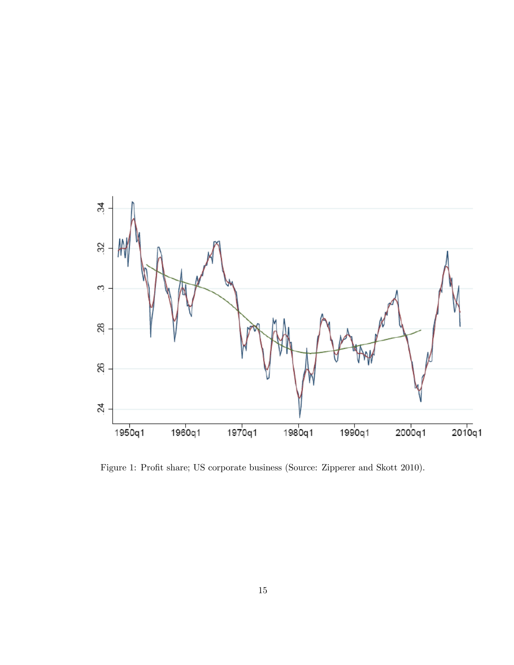

Figure 1: Profit share; US corporate business (Source: Zipperer and Skott 2010).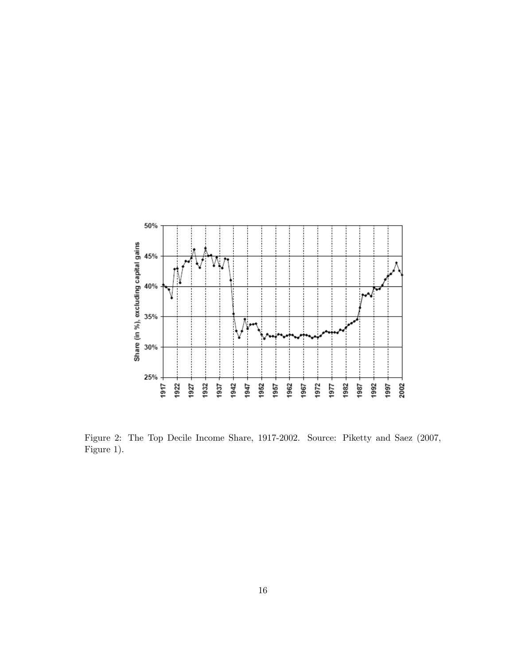

Figure 2: The Top Decile Income Share, 1917-2002. Source: Piketty and Saez (2007, Figure 1).